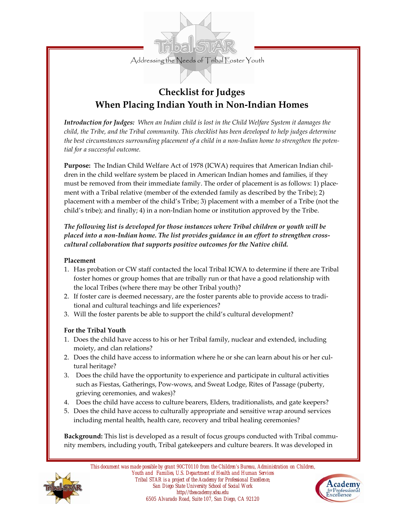

Addressing the Needs of Tribal Foster Youth

## **Checklist for Judges When Placing Indian Youth in Non‐Indian Homes**

*Introduction for Judges: When an Indian child is lost in the Child Welfare System it damages the child, the Tribe, and the Tribal community. This checklist has been developed to help judges determine* the best circumstances surrounding placement of a child in a non-Indian home to strengthen the poten*tial for a successful outcome.*

Purpose: The Indian Child Welfare Act of 1978 (ICWA) requires that American Indian children in the child welfare system be placed in American Indian homes and families, if they must be removed from their immediate family. The order of placement is as follows: 1) placement with a Tribal relative (member of the extended family as described by the Tribe); 2) placement with a member of the child's Tribe; 3) placement with a member of a Tribe (not the child's tribe); and finally; 4) in a non‐Indian home or institution approved by the Tribe.

*The following list is developed for those instances where Tribal children or youth will be placed into a non‐Indian home. The list provides guidance in an effort to strengthen cross‐ cultural collaboration that supports positive outcomes for the Native child.*

#### **Placement**

- 1. Has probation or CW staff contacted the local Tribal ICWA to determine if there are Tribal foster homes or group homes that are tribally run or that have a good relationship with the local Tribes (where there may be other Tribal youth)?
- 2. If foster care is deemed necessary, are the foster parents able to provide access to tradi‐ tional and cultural teachings and life experiences?
- 3. Will the foster parents be able to support the child's cultural development?

### **For the Tribal Youth**

- 1. Does the child have access to his or her Tribal family, nuclear and extended, including moiety, and clan relations?
- 2. Does the child have access to information where he or she can learn about his or her cul‐ tural heritage?
- 3. Does the child have the opportunity to experience and participate in cultural activities such as Fiestas, Gatherings, Pow-wows, and Sweat Lodge, Rites of Passage (puberty, grieving ceremonies, and wakes)?
- 4. Does the child have access to culture bearers, Elders, traditionalists, and gate keepers?
- 5. Does the child have access to culturally appropriate and sensitive wrap around services including mental health, health care, recovery and tribal healing ceremonies?

**Background:** This list is developed as a result of focus groups conducted with Tribal community members, including youth, Tribal gatekeepers and culture bearers. It was developed in



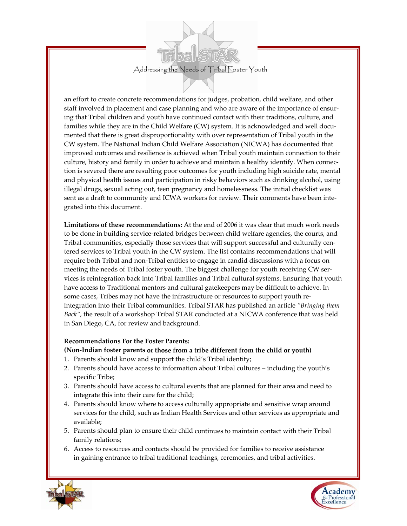

an effort to create concrete recommendations for judges, probation, child welfare, and other staff involved in placement and case planning and who are aware of the importance of ensuring that Tribal children and youth have continued contact with their traditions, culture, and families while they are in the Child Welfare (CW) system. It is acknowledged and well documented that there is great disproportionality with over representation of Tribal youth in the CW system. The National Indian Child Welfare Association (NICWA) has documented that improved outcomes and resilience is achieved when Tribal youth maintain connection to their culture, history and family in order to achieve and maintain a healthy identify. When connec‐ tion is severed there are resulting poor outcomes for youth including high suicide rate, mental and physical health issues and participation in risky behaviors such as drinking alcohol, using illegal drugs, sexual acting out, teen pregnancy and homelessness. The initial checklist was sent as a draft to community and ICWA workers for review. Their comments have been integrated into this document.

**Limitations of these recommendations:** At the end of 2006 it was clear that much work needs to be done in building service‐related bridges between child welfare agencies, the courts, and Tribal communities, especially those services that will support successful and culturally cen‐ tered services to Tribal youth in the CW system. The list contains recommendations that will require both Tribal and non‐Tribal entities to engage in candid discussions with a focus on meeting the needs of Tribal foster youth. The biggest challenge for youth receiving CW services is reintegration back into Tribal families and Tribal cultural systems. Ensuring that youth have access to Traditional mentors and cultural gatekeepers may be difficult to achieve. In some cases, Tribes may not have the infrastructure or resources to support youth reintegration into their Tribal communities. Tribal STAR has published an article *"Bringing them Back"*, the result of a workshop Tribal STAR conducted at a NICWA conference that was held in San Diego, CA, for review and background.

#### **Recommendations For the Foster Parents:**

- **(Non‐Indian foster parents or those from a tribe different from the child or youth)**
- 1. Parents should know and support the child's Tribal identity;
- 2. Parents should have access to information about Tribal cultures including the youth's specific Tribe;
- 3. Parents should have access to cultural events that are planned for their area and need to integrate this into their care for the child;
- 4. Parents should know where to access culturally appropriate and sensitive wrap around services for the child, such as Indian Health Services and other services as appropriate and available;
- 5. Parents should plan to ensure their child continues to maintain contact with their Tribal family relations;
- 6. Access to resources and contacts should be provided for families to receive assistance in gaining entrance to tribal traditional teachings, ceremonies, and tribal activities.



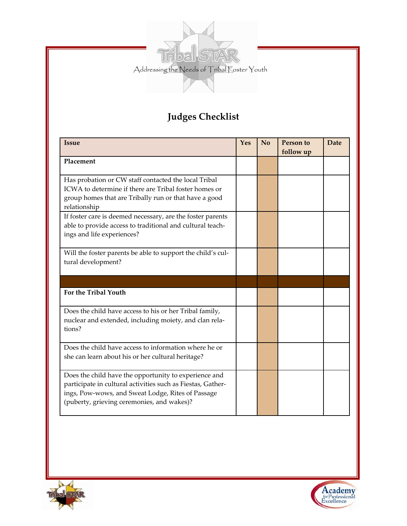

# **Judges Checklist**

| <b>Issue</b>                                                                                    | Yes | No | Person to<br>follow up | Date |
|-------------------------------------------------------------------------------------------------|-----|----|------------------------|------|
| Placement                                                                                       |     |    |                        |      |
| Has probation or CW staff contacted the local Tribal                                            |     |    |                        |      |
| ICWA to determine if there are Tribal foster homes or                                           |     |    |                        |      |
| group homes that are Tribally run or that have a good<br>relationship                           |     |    |                        |      |
| If foster care is deemed necessary, are the foster parents                                      |     |    |                        |      |
| able to provide access to traditional and cultural teach-                                       |     |    |                        |      |
| ings and life experiences?                                                                      |     |    |                        |      |
| Will the foster parents be able to support the child's cul-                                     |     |    |                        |      |
| tural development?                                                                              |     |    |                        |      |
|                                                                                                 |     |    |                        |      |
| For the Tribal Youth                                                                            |     |    |                        |      |
| Does the child have access to his or her Tribal family,                                         |     |    |                        |      |
| nuclear and extended, including moiety, and clan rela-                                          |     |    |                        |      |
| tions?                                                                                          |     |    |                        |      |
| Does the child have access to information where he or                                           |     |    |                        |      |
| she can learn about his or her cultural heritage?                                               |     |    |                        |      |
| Does the child have the opportunity to experience and                                           |     |    |                        |      |
|                                                                                                 |     |    |                        |      |
| participate in cultural activities such as Fiestas, Gather-                                     |     |    |                        |      |
| ings, Pow-wows, and Sweat Lodge, Rites of Passage<br>(puberty, grieving ceremonies, and wakes)? |     |    |                        |      |